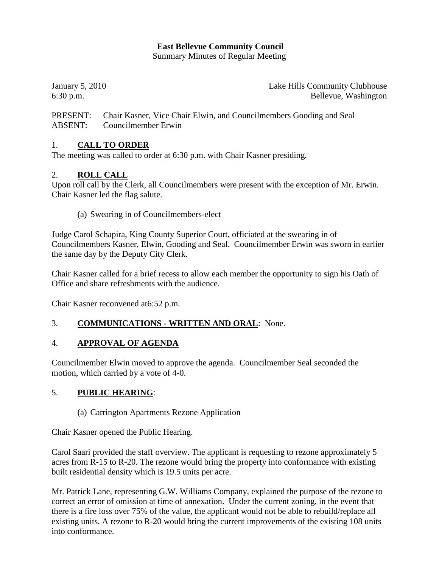# **East Bellevue Community Council**

Summary Minutes of Regular Meeting

January 5, 2010 Lake Hills Community Clubhouse 6:30 p.m. Bellevue, Washington

PRESENT: Chair Kasner, Vice Chair Elwin, and Councilmembers Gooding and Seal ABSENT: Councilmember Erwin

# 1. **CALL TO ORDER**

The meeting was called to order at 6:30 p.m. with Chair Kasner presiding.

#### 2. **ROLL CALL**

Upon roll call by the Clerk, all Councilmembers were present with the exception of Mr. Erwin. Chair Kasner led the flag salute.

(a) Swearing in of Councilmembers-elect

Judge Carol Schapira, King County Superior Court, officiated at the swearing in of Councilmembers Kasner, Elwin, Gooding and Seal. Councilmember Erwin was sworn in earlier the same day by the Deputy City Clerk.

Chair Kasner called for a brief recess to allow each member the opportunity to sign his Oath of Office and share refreshments with the audience.

Chair Kasner reconvened at6:52 p.m.

## 3. **COMMUNICATIONS - WRITTEN AND ORAL**: None.

## 4. **APPROVAL OF AGENDA**

Councilmember Elwin moved to approve the agenda. Councilmember Seal seconded the motion, which carried by a vote of 4-0.

## 5. **PUBLIC HEARING**:

(a) Carrington Apartments Rezone Application

Chair Kasner opened the Public Hearing.

Carol Saari provided the staff overview. The applicant is requesting to rezone approximately 5 acres from R-15 to R-20. The rezone would bring the property into conformance with existing built residential density which is 19.5 units per acre.

Mr. Patrick Lane, representing G.W. Williams Company, explained the purpose of the rezone to correct an error of omission at time of annexation. Under the current zoning, in the event that there is a fire loss over 75% of the value, the applicant would not be able to rebuild/replace all existing units. A rezone to R-20 would bring the current improvements of the existing 108 units into conformance.